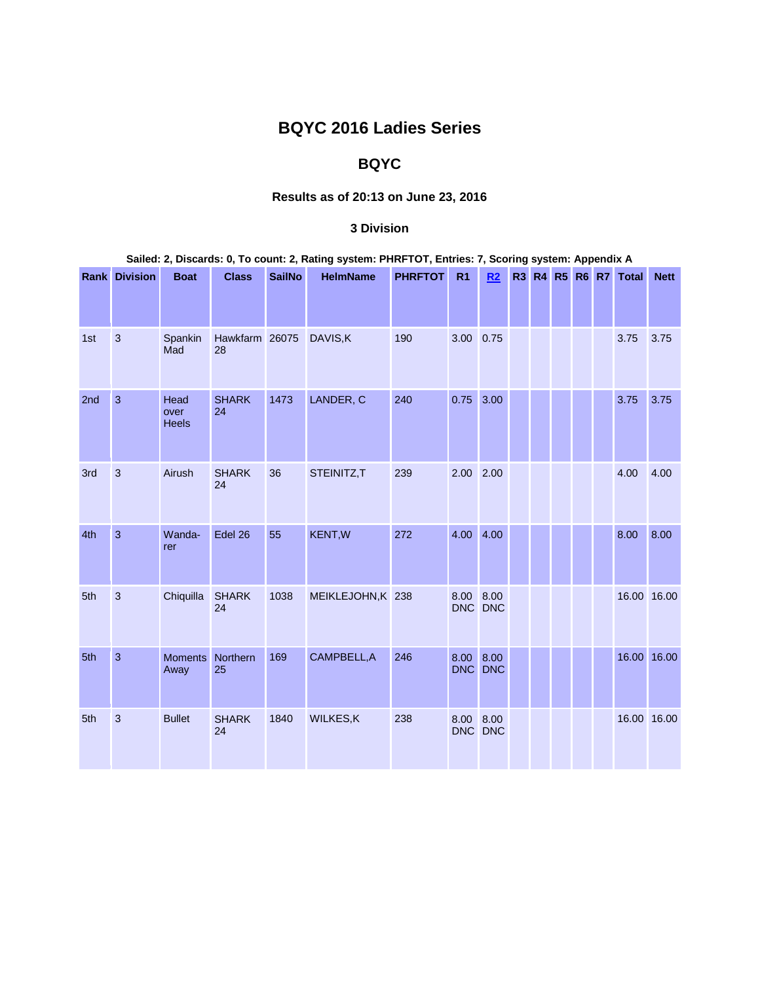# **BQYC 2016 Ladies Series**

## **BQYC**

### **Results as of 20:13 on June 23, 2016**

#### **3 Division**

| Sailed: 2, Discards: 0, To count: 2, Rating system: PHRFTOT, Entries: 7, Scoring system: Appendix A |                      |                              |                      |               |                   |                |                |         |  |  |  |  |                      |             |
|-----------------------------------------------------------------------------------------------------|----------------------|------------------------------|----------------------|---------------|-------------------|----------------|----------------|---------|--|--|--|--|----------------------|-------------|
|                                                                                                     | <b>Rank Division</b> | <b>Boat</b>                  | <b>Class</b>         | <b>SailNo</b> | <b>HelmName</b>   | <b>PHRFTOT</b> | R <sub>1</sub> | R2      |  |  |  |  | R3 R4 R5 R6 R7 Total | <b>Nett</b> |
| 1st                                                                                                 | $\sqrt{3}$           | Spankin<br>Mad               | Hawkfarm 26075<br>28 |               | DAVIS, K          | 190            | 3.00 0.75      |         |  |  |  |  | 3.75                 | 3.75        |
| 2nd                                                                                                 | $\overline{3}$       | Head<br>over<br><b>Heels</b> | <b>SHARK</b><br>24   | 1473          | LANDER, C         | 240            | 0.75 3.00      |         |  |  |  |  | 3.75                 | 3.75        |
| 3rd                                                                                                 | $\mathbf{3}$         | Airush                       | <b>SHARK</b><br>24   | 36            | STEINITZ,T        | 239            | 2.00 2.00      |         |  |  |  |  | 4.00                 | 4.00        |
| 4th                                                                                                 | $\mathbf{3}$         | Wanda-<br>rer                | Edel 26              | 55            | <b>KENT, W</b>    | 272            | 4.00 4.00      |         |  |  |  |  | 8.00                 | 8.00        |
| 5th                                                                                                 | $\mathbf{3}$         | Chiquilla                    | <b>SHARK</b><br>24   | 1038          | MEIKLEJOHN, K 238 |                | 8.00 8.00      | DNC DNC |  |  |  |  | 16.00 16.00          |             |
| 5th                                                                                                 | $\overline{3}$       | <b>Moments</b><br>Away       | Northern<br>25       | 169           | CAMPBELL, A       | 246            | 8.00 8.00      | DNC DNC |  |  |  |  | 16.00 16.00          |             |
| 5th                                                                                                 | $\mathbf{3}$         | <b>Bullet</b>                | <b>SHARK</b><br>24   | 1840          | WILKES, K         | 238            | 8.00 8.00      | DNC DNC |  |  |  |  | 16.00 16.00          |             |